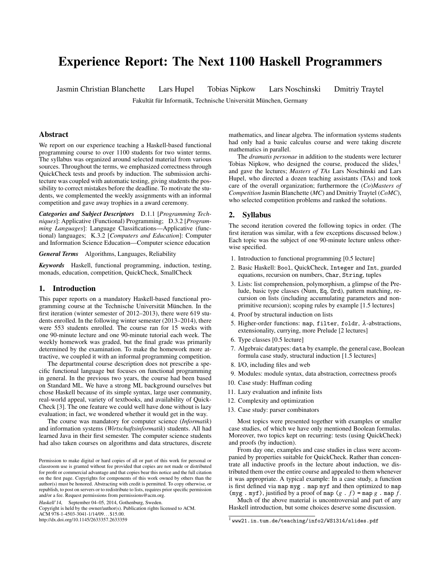# Experience Report: The Next 1100 Haskell Programmers

Jasmin Christian Blanchette Lars Hupel Tobias Nipkow Lars Noschinski Dmitriy Traytel

Fakultät für Informatik, Technische Universität München, Germany

# Abstract

We report on our experience teaching a Haskell-based functional programming course to over 1100 students for two winter terms. The syllabus was organized around selected material from various sources. Throughout the terms, we emphasized correctness through QuickCheck tests and proofs by induction. The submission architecture was coupled with automatic testing, giving students the possibility to correct mistakes before the deadline. To motivate the students, we complemented the weekly assignments with an informal competition and gave away trophies in a award ceremony.

*Categories and Subject Descriptors* D.1.1 [*Programming Techniques*]: Applicative (Functional) Programming; D.3.2 [*Programming Languages*]: Language Classifications—Applicative (functional) languages; K.3.2 [*Computers and Education*]: Computer and Information Science Education—Computer science education

*General Terms* Algorithms, Languages, Reliability

*Keywords* Haskell, functional programming, induction, testing, monads, education, competition, QuickCheck, SmallCheck

# 1. Introduction

This paper reports on a mandatory Haskell-based functional programming course at the Technische Universität München. In the first iteration (winter semester of 2012–2013), there were 619 students enrolled. In the following winter semester (2013–2014), there were 553 students enrolled. The course ran for 15 weeks with one 90-minute lecture and one 90-minute tutorial each week. The weekly homework was graded, but the final grade was primarily determined by the examination. To make the homework more attractive, we coupled it with an informal programming competition.

The departmental course description does not prescribe a specific functional language but focuses on functional programming in general. In the previous two years, the course had been based on Standard ML. We have a strong ML background ourselves but chose Haskell because of its simple syntax, large user community, real-world appeal, variety of textbooks, and availability of Quick-Check [3]. The one feature we could well have done without is lazy evaluation; in fact, we wondered whether it would get in the way.

The course was mandatory for computer science (*Informatik*) and information systems (*Wirtschaftsinformatik*) students. All had learned Java in their first semester. The computer science students had also taken courses on algorithms and data structures, discrete

Copyright is held by the owner/author(s). Publication rights licensed to ACM. ACM 978-1-4503-3041-1/14/09. . . \$15.00.

http://dx.doi.org/10.1145/2633357.2633359

mathematics, and linear algebra. The information systems students had only had a basic calculus course and were taking discrete mathematics in parallel.

The *dramatis personae* in addition to the students were lecturer Tobias Nipkow, who designed the course, produced the slides,<sup>1</sup> and gave the lectures; *Masters of TAs* Lars Noschinski and Lars Hupel, who directed a dozen teaching assistants (TAs) and took care of the overall organization; furthermore the (*Co*)*Masters of Competition* Jasmin Blanchette (*MC*) and Dmitriy Traytel (*CoMC*), who selected competition problems and ranked the solutions.

## 2. Syllabus

The second iteration covered the following topics in order. (The first iteration was similar, with a few exceptions discussed below.) Each topic was the subject of one 90-minute lecture unless otherwise specified.

- 1. Introduction to functional programming [0.5 lecture]
- 2. Basic Haskell: Bool, QuickCheck, Integer and Int, guarded equations, recursion on numbers, Char, String, tuples
- 3. Lists: list comprehension, polymorphism, a glimpse of the Prelude, basic type classes (Num, Eq, Ord), pattern matching, recursion on lists (including accumulating parameters and nonprimitive recursion); scoping rules by example [1.5 lectures]
- 4. Proof by structural induction on lists
- 5. Higher-order functions: map, filter, foldr,  $\lambda$ -abstractions, extensionality, currying, more Prelude [2 lectures]
- 6. Type classes [0.5 lecture]
- 7. Algebraic datatypes: data by example, the general case, Boolean formula case study, structural induction [1.5 lectures]
- 8. I/O, including files and web
- 9. Modules: module syntax, data abstraction, correctness proofs
- 10. Case study: Huffman coding
- 11. Lazy evaluation and infinite lists
- 12. Complexity and optimization
- 13. Case study: parser combinators

Most topics were presented together with examples or smaller case studies, of which we have only mentioned Boolean formulas. Moreover, two topics kept on recurring: tests (using QuickCheck) and proofs (by induction).

From day one, examples and case studies in class were accompanied by properties suitable for QuickCheck. Rather than concentrate all inductive proofs in the lecture about induction, we distributed them over the entire course and appealed to them whenever it was appropriate. A typical example: In a case study, a function is first defined via map myg . map myf and then optimized to map (myg. myf), justified by a proof of map  $(g \cdot f)$  = map  $g \cdot$  map  $f$ .

Much of the above material is uncontroversial and part of any Haskell introduction, but some choices deserve some discussion.

Permission to make digital or hard copies of all or part of this work for personal or classroom use is granted without fee provided that copies are not made or distributed for profit or commercial advantage and that copies bear this notice and the full citation on the first page. Copyrights for components of this work owned by others than the author(s) must be honored. Abstracting with credit is permitted. To copy otherwise, or republish, to post on servers or to redistribute to lists, requires prior specific permission and/or a fee. Request permissions from permissions@acm.org.

Haskell'14, September 04–05, 2014, Gothenburg, Sweden.

<sup>1</sup> www21.in.tum.de/teaching/info2/WS1314/slides.pdf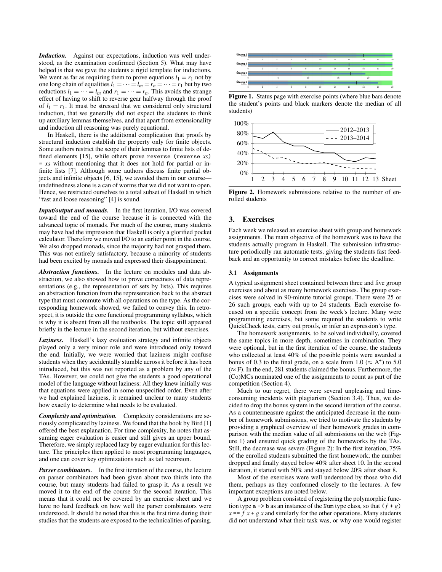*Induction.* Against our expectations, induction was well understood, as the examination confirmed (Section 5). What may have helped is that we gave the students a rigid template for inductions. We went as far as requiring them to prove equations  $l_1 = r_1$  not by one long chain of equalities  $l_1 = \cdots = l_m = r_n = \cdots = r_1$  but by two reductions  $l_1 = \cdots = l_m$  and  $r_1 = \cdots = r_n$ . This avoids the strange effect of having to shift to reverse gear halfway through the proof of  $l_1 = r_1$ . It must be stressed that we considered only structural induction, that we generally did not expect the students to think up auxiliary lemmas themselves, and that apart from extensionality and induction all reasoning was purely equational.

In Haskell, there is the additional complication that proofs by structural induction establish the property only for finite objects. Some authors restrict the scope of their lemmas to finite lists of defined elements [15], while others prove reverse (reverse *xs*) = *xs* without mentioning that it does not hold for partial or infinite lists [7]. Although some authors discuss finite partial objects and infinite objects [6, 15], we avoided them in our course undefinedness alone is a can of worms that we did not want to open. Hence, we restricted ourselves to a total subset of Haskell in which "fast and loose reasoning" [4] is sound.

*Input/output and monads.* In the first iteration, I/O was covered toward the end of the course because it is connected with the advanced topic of monads. For much of the course, many students may have had the impression that Haskell is only a glorified pocket calculator. Therefore we moved I/O to an earlier point in the course. We also dropped monads, since the majority had not grasped them. This was not entirely satisfactory, because a minority of students had been excited by monads and expressed their disappointment.

*Abstraction functions.* In the lecture on modules and data abstraction, we also showed how to prove correctness of data representations (e.g., the representation of sets by lists). This requires an abstraction function from the representation back to the abstract type that must commute with all operations on the type. As the corresponding homework showed, we failed to convey this. In retrospect, it is outside the core functional programming syllabus, which is why it is absent from all the textbooks. The topic still appeared briefly in the lecture in the second iteration, but without exercises.

*Laziness.* Haskell's lazy evaluation strategy and infinite objects played only a very minor role and were introduced only toward the end. Initially, we were worried that laziness might confuse students when they accidentally stumble across it before it has been introduced, but this was not reported as a problem by any of the TAs. However, we could not give the students a good operational model of the language without laziness: All they knew initially was that equations were applied in some unspecified order. Even after we had explained laziness, it remained unclear to many students how exactly to determine what needs to be evaluated.

*Complexity and optimization.* Complexity considerations are seriously complicated by laziness. We found that the book by Bird [1] offered the best explanation. For time complexity, he notes that assuming eager evaluation is easier and still gives an upper bound. Therefore, we simply replaced lazy by eager evaluation for this lecture. The principles then applied to most programming languages, and one can cover key optimizations such as tail recursion.

*Parser combinators.* In the first iteration of the course, the lecture on parser combinators had been given about two thirds into the course, but many students had failed to grasp it. As a result we moved it to the end of the course for the second iteration. This means that it could not be covered by an exercise sheet and we have no hard feedback on how well the parser combinators were understood. It should be noted that this is the first time during their studies that the students are exposed to the technicalities of parsing.



Figure 1. Status page with exercise points (where blue bars denote the student's points and black markers denote the median of all students)



Figure 2. Homework submissions relative to the number of enrolled students

# 3. Exercises

Each week we released an exercise sheet with group and homework assignments. The main objective of the homework was to have the students actually program in Haskell. The submission infrastructure periodically ran automatic tests, giving the students fast feedback and an opportunity to correct mistakes before the deadline.

## 3.1 Assignments

A typical assignment sheet contained between three and five group exercises and about as many homework exercises. The group exercises were solved in 90-minute tutorial groups. There were 25 or 26 such groups, each with up to 24 students. Each exercise focused on a specific concept from the week's lecture. Many were programming exercises, but some required the students to write QuickCheck tests, carry out proofs, or infer an expression's type.

The homework assignments, to be solved individually, covered the same topics in more depth, sometimes in combination. They were optional, but in the first iteration of the course, the students who collected at least 40% of the possible points were awarded a bonus of 0.3 to the final grade, on a scale from 1.0 ( $\approx A^{+}$ ) to 5.0  $(\approx$  F). In the end, 281 students claimed the bonus. Furthermore, the (Co)MCs nominated one of the assignments to count as part of the competition (Section 4).

Much to our regret, there were several unpleasing and timeconsuming incidents with plagiarism (Section 3.4). Thus, we decided to drop the bonus system in the second iteration of the course. As a countermeasure against the anticipated decrease in the number of homework submissions, we tried to motivate the students by providing a graphical overview of their homework grades in comparison with the median value of all submissions on the web (Figure 1) and ensured quick grading of the homeworks by the TAs. Still, the decrease was severe (Figure 2): In the first iteration, 75% of the enrolled students submitted the first homework; the number dropped and finally stayed below 40% after sheet 10. In the second iteration, it started with 50% and stayed below 20% after sheet 8.

Most of the exercises were well understood by those who did them, perhaps as they conformed closely to the lectures. A few important exceptions are noted below.

A group problem consisted of registering the polymorphic function type  $a \rightarrow b$  as an instance of the Num type class, so that  $(f + g)$  $x == f x + g x$  and similarly for the other operations. Many students did not understand what their task was, or why one would register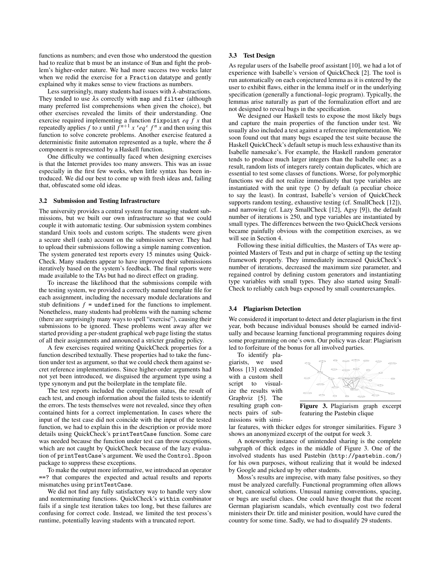functions as numbers; and even those who understood the question had to realize that b must be an instance of Num and fight the problem's higher-order nature. We had more success two weeks later when we redid the exercise for a Fraction datatype and gently explained why it makes sense to view fractions as numbers.

Less surprisingly, many students had issues with  $\lambda$ -abstractions. They tended to use  $\lambda$ s correctly with map and filter (although many preferred list comprehensions when given the choice), but other exercises revealed the limits of their understanding. One exercise required implementing a function fixpoint *eq f x* that repeatedly applies *f* to *x* until  $f^{n+1}x^e q^e f^n x$  and then using this function to solve concrete problems. Another exercise featured a deterministic finite automaton represented as a tuple, where the  $\delta$ component is represented by a Haskell function.

One difficulty we continually faced when designing exercises is that the Internet provides too many answers. This was an issue especially in the first few weeks, when little syntax has been introduced. We did our best to come up with fresh ideas and, failing that, obfuscated some old ideas.

## 3.2 Submission and Testing Infrastructure

The university provides a central system for managing student submissions, but we built our own infrastructure so that we could couple it with automatic testing. Our submission system combines standard Unix tools and custom scripts. The students were given a secure shell (ssh) account on the submission server. They had to upload their submissions following a simple naming convention. The system generated test reports every 15 minutes using Quick-Check. Many students appear to have improved their submissions iteratively based on the system's feedback. The final reports were made available to the TAs but had no direct effect on grading.

To increase the likelihood that the submissions compile with the testing system, we provided a correctly named template file for each assignment, including the necessary module declarations and stub definitions  $f =$  undefined for the functions to implement. Nonetheless, many students had problems with the naming scheme (there are surprisingly many ways to spell "exercise"), causing their submissions to be ignored. These problems went away after we started providing a per-student graphical web page listing the status of all their assignments and announced a stricter grading policy.

A few exercises required writing QuickCheck properties for a function described textually. These properties had to take the function under test as argument, so that we could check them against secret reference implementations. Since higher-order arguments had not yet been introduced, we disguised the argument type using a type synonym and put the boilerplate in the template file.

The test reports included the compilation status, the result of each test, and enough information about the failed tests to identify the errors. The tests themselves were not revealed, since they often contained hints for a correct implementation. In cases where the input of the test case did not coincide with the input of the tested function, we had to explain this in the description or provide more details using QuickCheck's printTestCase function. Some care was needed because the function under test can throw exceptions, which are not caught by QuickCheck because of the lazy evaluation of printTestCase's argument. We used the Control.Spoon package to suppress these exceptions.

To make the output more informative, we introduced an operator ==? that compares the expected and actual results and reports mismatches using printTestCase.

We did not find any fully satisfactory way to handle very slow and nonterminating functions. QuickCheck's within combinator fails if a single test iteration takes too long, but these failures are confusing for correct code. Instead, we limited the test process's runtime, potentially leaving students with a truncated report.

### 3.3 Test Design

As regular users of the Isabelle proof assistant [10], we had a lot of experience with Isabelle's version of QuickCheck [2]. The tool is run automatically on each conjectured lemma as it is entered by the user to exhibit flaws, either in the lemma itself or in the underlying specification (generally a functional–logic program). Typically, the lemmas arise naturally as part of the formalization effort and are not designed to reveal bugs in the specification.

We designed our Haskell tests to expose the most likely bugs and capture the main properties of the function under test. We usually also included a test against a reference implementation. We soon found out that many bugs escaped the test suite because the Haskell QuickCheck's default setup is much less exhaustive than its Isabelle namesake's. For example, the Haskell random generator tends to produce much larger integers than the Isabelle one; as a result, random lists of integers rarely contain duplicates, which are essential to test some classes of functions. Worse, for polymorphic functions we did not realize immediately that type variables are instantiated with the unit type () by default (a peculiar choice to say the least). In contrast, Isabelle's version of QuickCheck supports random testing, exhaustive testing (cf. SmallCheck [12]), and narrowing (cf. Lazy SmallCheck [12], Agsy [9]), the default number of iterations is 250, and type variables are instantiated by small types. The differences between the two QuickCheck versions became painfully obvious with the competition exercises, as we will see in Section 4.

Following these initial difficulties, the Masters of TAs were appointed Masters of Tests and put in charge of setting up the testing framework properly. They immediately increased QuickCheck's number of iterations, decreased the maximum size parameter, and regained control by defining custom generators and instantiating type variables with small types. They also started using Small-Check to reliably catch bugs exposed by small counterexamples.

# 3.4 Plagiarism Detection

We considered it important to detect and deter plagiarism in the first year, both because individual bonuses should be earned individually and because learning functional programming requires doing some programming on one's own. Our policy was clear: Plagiarism led to forfeiture of the bonus for all involved parties.

To identify pla-

giarists, we used Moss [13] extended with a custom shell script to visualize the results with Graphviz [5]. The resulting graph connects pairs of submissions with simi-



Figure 3. Plagiarism graph excerpt featuring the Pastebin clique

lar features, with thicker edges for stronger similarities. Figure 3 shows an anonymized excerpt of the output for week 3.

A noteworthy instance of unintended sharing is the complete subgraph of thick edges in the middle of Figure 3. One of the involved students has used Pastebin (http://pastebin.com/) for his own purposes, without realizing that it would be indexed by Google and picked up by other students.

Moss's results are imprecise, with many false positives, so they must be analyzed carefully. Functional programming often allows short, canonical solutions. Unusual naming conventions, spacing, or bugs are useful clues. One could have thought that the recent German plagiarism scandals, which eventually cost two federal ministers their Dr. title and minister position, would have cured the country for some time. Sadly, we had to disqualify 29 students.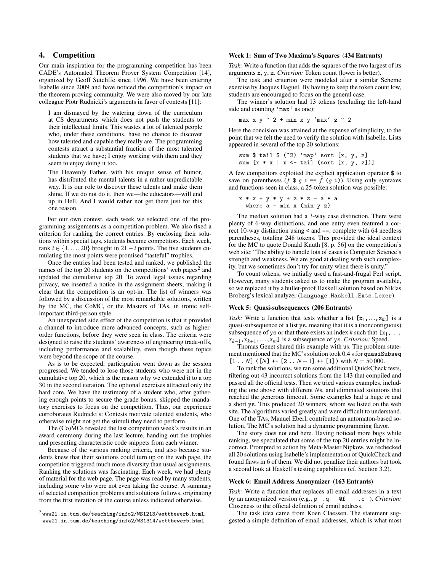# 4. Competition

Our main inspiration for the programming competition has been CADE's Automated Theorem Prover System Competition [14], organized by Geoff Sutcliffe since 1996. We have been entering Isabelle since 2009 and have noticed the competition's impact on the theorem proving community. We were also moved by our late colleague Piotr Rudnicki's arguments in favor of contests [11]:

I am dismayed by the watering down of the curriculum at CS departments which does not push the students to their intellectual limits. This wastes a lot of talented people who, under these conditions, have no chance to discover how talented and capable they really are. The programming contests attract a substantial fraction of the most talented students that we have; I enjoy working with them and they seem to enjoy doing it too.

The Heavenly Father, with his unique sense of humor, has distributed the mental talents in a rather unpredictable way. It is our role to discover these talents and make them shine. If we do not do it, then we—the educators—will end up in Hell. And I would rather not get there just for this one reason.

For our own contest, each week we selected one of the programming assignments as a competition problem. We also fixed a criterion for ranking the correct entries. By enclosing their solutions within special tags, students became competitors. Each week, rank  $i \in \{1, \ldots, 20\}$  brought in 21 − *i* points. The five students cumulating the most points were promised "tasteful" trophies.

Once the entries had been tested and ranked, we published the names of the top 20 students on the competitions' web pages<sup>2</sup> and updated the cumulative top 20. To avoid legal issues regarding privacy, we inserted a notice in the assignment sheets, making it clear that the competition is an opt-in. The list of winners was followed by a discussion of the most remarkable solutions, written by the MC, the CoMC, or the Masters of TAs, in ironic selfimportant third-person style.

An unexpected side effect of the competition is that it provided a channel to introduce more advanced concepts, such as higherorder functions, before they were seen in class. The criteria were designed to raise the students' awareness of engineering trade-offs, including performance and scalability, even though these topics were beyond the scope of the course.

As is to be expected, participation went down as the session progressed. We tended to lose those students who were not in the cumulative top 20, which is the reason why we extended it to a top 30 in the second iteration. The optional exercises attracted only the hard core. We have the testimony of a student who, after gathering enough points to secure the grade bonus, skipped the mandatory exercises to focus on the competition. Thus, our experience corroborates Rudnicki's: Contests motivate talented students, who otherwise might not get the stimuli they need to perform.

The (Co)MCs revealed the last competition week's results in an award ceremony during the last lecture, handing out the trophies and presenting characteristic code snippets from each winner.

Because of the various ranking criteria, and also because students knew that their solutions could turn up on the web page, the competition triggered much more diversity than usual assignments. Ranking the solutions was fascinating. Each week, we had plenty of material for the web page. The page was read by many students, including some who were not even taking the course. A summary of selected competition problems and solutions follows, originating from the first iteration of the course unless indicated otherwise.

#### Week 1: Sum of Two Maxima's Squares (434 Entrants)

*Task:* Write a function that adds the squares of the two largest of its arguments x, y, z. *Criterion:* Token count (lower is better).

The task and criterion were modeled after a similar Scheme exercise by Jacques Haguel. By having to keep the token count low, students are encouraged to focus on the general case.

The winner's solution had 13 tokens (excluding the left-hand side and counting 'max' as one):

max  $x y^2 + min x y' max' z^2$ 

Here the concision was attained at the expense of simplicity, to the point that we felt the need to verify the solution with Isabelle. Lists appeared in several of the top 20 solutions:

```
sum $ tail $ (^2) 'map' sort [x, y, z]
sum [x * x | x \leftarrow \text{tail} (\text{sort } [x, y, z])]
```
A few competitors exploited the explicit application operator \$ to save on parentheses ( $f \$ g  $x == f$  ( $g \ x$ )). Using only syntaxes and functions seen in class, a 25-token solution was possible:

x \* x + y \* y + z \* z - a \* a where  $a = min x (min y z)$ 

The median solution had a 3-way case distinction. There were plenty of 6-way distinctions, and one entry even featured a correct 10-way distinction using < and ==, complete with 64 needless parentheses, totaling 248 tokens. This provided the ideal context for the MC to quote Donald Knuth [8, p. 56] on the competition's web site: "The ability to handle lots of cases is Computer Science's strength and weakness. We are good at dealing with such complexity, but we sometimes don't try for unity when there is unity.'

To count tokens, we initially used a fast-and-frugal Perl script. However, many students asked us to make the program available, so we replaced it by a bullet-proof Haskell solution based on Niklas Broberg's lexical analyzer (Language.Haskell.Exts.Lexer).

#### Week 5: Quasi-subsequences (206 Entrants)

*Task:* Write a function that tests whether a list  $[x_1,...,x_m]$  is a quasi-subsequence of a list ys, meaning that it is a (noncontiguous) subsequence of ys or that there exists an index  $k$  such that  $[x_1,...,x_n]$ x*k*−1,x*k*+1,...,x*m*] is a subsequence of ys. *Criterion:* Speed.

Thomas Genet shared this example with us. The problem statement mentioned that the MC's solution took 0.4 s for quasiSubseq  $[1 \dots N]$  ( $[N]$  +  $[2 \dots N-1]$  +  $[1]$ ) with  $N = 50000$ .

To rank the solutions, we ran some additional QuickCheck tests, filtering out 43 incorrect solutions from the 143 that compiled and passed all the official tests. Then we tried various examples, including the one above with different *N*s, and eliminated solutions that reached the generous timeout. Some examples had a huge *m* and a short ys. This produced 20 winners, whom we listed on the web site. The algorithms varied greatly and were difficult to understand. One of the TAs, Manuel Eberl, contributed an automaton-based solution. The MC's solution had a dynamic programming flavor.

The story does not end here. Having noticed more bugs while ranking, we speculated that some of the top 20 entries might be incorrect. Prompted to action by Meta-Master Nipkow, we rechecked all 20 solutions using Isabelle's implementation of QuickCheck and found flaws in 6 of them. We did not penalize their authors but took a second look at Haskell's testing capabilities (cf. Section 3.2).

#### Week 6: Email Address Anonymizer (163 Entrants)

*Task:* Write a function that replaces all email addresses in a text by an anonymized version (e.g., p<sub>--</sub>, q<sub>---</sub>Qf<sub>----</sub>, c<sub>-</sub>). *Criterion:* Closeness to the official definition of email address.

The task idea came from Koen Claessen. The statement suggested a simple definition of email addresses, which is what most

 $2$ www21.in.tum.de/teaching/info2/WS1213/wettbewerb.html, www21.in.tum.de/teaching/info2/WS1314/wettbewerb.html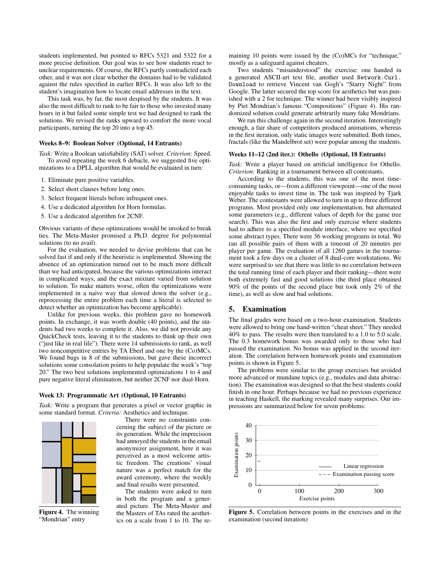students implemented, but pointed to RFCs 5321 and 5322 for a more precise definition. Our goal was to see how students react to unclear requirements. Of course, the RFCs partly contradicted each other, and it was not clear whether the domains had to be validated against the rules specified in earlier RFCs. It was also left to the student's imagination how to locate email addresses in the text.

This task was, by far, the most despised by the students. It was also the most difficult to rank to be fair to those who invested many hours in it but failed some simple test we had designed to rank the solutions. We revised the ranks upward to comfort the more vocal participants, turning the top 20 into a top 45.

# Weeks 8–9: Boolean Solver (Optional, 14 Entrants)

*Task:* Write a Boolean satisfiability (SAT) solver. *Criterion:* Speed. To avoid repeating the week 6 debacle, we suggested five optimizations to a DPLL algorithm that would be evaluated in turn:

- 1. Eliminate pure positive variables.
- 2. Select short clauses before long ones.
- 3. Select frequent literals before infrequent ones.
- 4. Use a dedicated algorithm for Horn formulas.
- 5. Use a dedicated algorithm for 2CNF.

Obvious variants of these optimizations would be invoked to break ties. The Meta-Master promised a Ph.D. degree for polynomial solutions (to no avail).

For the evaluation, we needed to devise problems that can be solved fast if and only if the heuristic is implemented. Showing the absence of an optimization turned out to be much more difficult than we had anticipated, because the various optimizations interact in complicated ways, and the exact mixture varied from solution to solution. To make matters worse, often the optimizations were implemented in a naive way that slowed down the solver (e.g., reprocessing the entire problem each time a literal is selected to detect whether an optimization has become applicable).

Unlike for previous weeks, this problem gave no homework points. In exchange, it was worth double (40 points), and the students had two weeks to complete it. Also, we did not provide any QuickCheck tests, leaving it to the students to think up their own ("just like in real life"). There were 14 submissions to rank, as well two noncompetitive entries by TA Eberl and one by the (Co)MCs. We found bugs in 8 of the submissions, but gave these incorrect solutions some consolation points to help populate the week's "top 20." The two best solutions implemented optimizations 1 to 4 and pure negative literal elimination, but neither 2CNF nor dual-Horn.

#### Week 13: Programmatic Art (Optional, 10 Entrants)

*Task:* Write a program that generates a pixel or vector graphic in some standard format. *Criteria:* Aesthetics and technique.



Figure 4. The winning "Mondrian" entry

There were no constraints concerning the subject of the picture or its generation. While the imprecision had annoyed the students in the email anonymizer assignment, here it was perceived as a most welcome artistic freedom. The creations' visual nature was a perfect match for the award ceremony, where the weekly and final results were presented.

The students were asked to turn in both the program and a generated picture. The Meta-Master and the Masters of TAs rated the aesthetics on a scale from 1 to 10. The remaining 10 points were issued by the (Co)MCs for "technique," mostly as a safeguard against cheaters.

Two students "misunderstood" the exercise: one handed in a generated ASCII-art text file, another used Network.Curl. Download to retrieve Vincent van Gogh's "Starry Night" from Google. The latter secured the top score for aesthetics but was punished with a 2 for technique. The winner had been visibly inspired by Piet Mondrian's famous "Compositions" (Figure 4). His randomized solution could generate arbitrarily many fake Mondrians.

We ran this challenge again in the second iteration. Interestingly enough, a fair share of competitors produced animations, whereas in the first iteration, only static images were submitted. Both times, fractals (like the Mandelbrot set) were popular among the students.

#### Weeks 11–12 (2nd iter.): Othello (Optional, 18 Entrants)

*Task:* Write a player based on artificial intelligence for Othello. *Criterion:* Ranking in a tournament between all contestants.

According to the students, this was one of the most timeconsuming tasks, or—from a different viewpoint—one of the most enjoyable tasks to invest time in. The task was inspired by Tjark Weber. The contestants were allowed to turn in up to three different programs. Most provided only one implementation, but alternated some parameters (e.g., different values of depth for the game tree search). This was also the first and only exercise where students had to adhere to a specified module interface, where we specified some abstract types. There were 36 working programs in total. We ran all possible pairs of them with a timeout of 20 minutes per player per game. The evaluation of all 1260 games in the tournament took a few days on a cluster of 8 dual-core workstations. We were surprised to see that there was little to no correlation between the total running time of each player and their ranking—there were both extremely fast and good solutions (the third place obtained 90% of the points of the second place but took only 2% of the time), as well as slow and bad solutions.

# 5. Examination

The final grades were based on a two-hour examination. Students were allowed to bring one hand-written "cheat sheet." They needed 40% to pass. The results were then translated to a 1.0 to 5.0 scale. The 0.3 homework bonus was awarded only to those who had passed the examination. No bonus was applied in the second iteration. The correlation between homework points and examination points is shown in Figure 5.

The problems were similar to the group exercises but avoided more advanced or mundane topics (e.g., modules and data abstraction). The examination was designed so that the best students could finish in one hour. Perhaps because we had no previous experience in teaching Haskell, the marking revealed many surprises. Our impressions are summarized below for seven problems:



Figure 5. Correlation between points in the exercises and in the examination (second iteration)